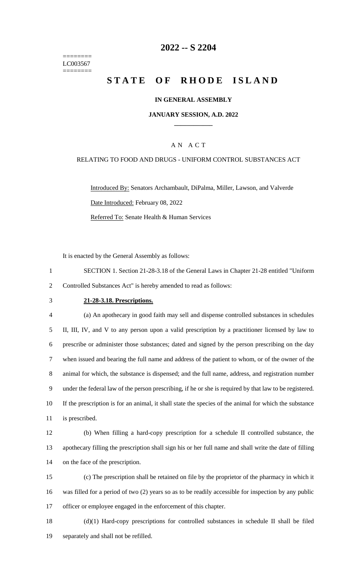======== LC003567 ========

### **-- S 2204**

# **STATE OF RHODE ISLAND**

#### **IN GENERAL ASSEMBLY**

#### **JANUARY SESSION, A.D. 2022 \_\_\_\_\_\_\_\_\_\_\_\_**

### A N A C T

#### RELATING TO FOOD AND DRUGS - UNIFORM CONTROL SUBSTANCES ACT

Introduced By: Senators Archambault, DiPalma, Miller, Lawson, and Valverde Date Introduced: February 08, 2022 Referred To: Senate Health & Human Services

It is enacted by the General Assembly as follows:

- SECTION 1. Section 21-28-3.18 of the General Laws in Chapter 21-28 entitled "Uniform Controlled Substances Act" is hereby amended to read as follows:
- 

#### **21-28-3.18. Prescriptions.**

 (a) An apothecary in good faith may sell and dispense controlled substances in schedules II, III, IV, and V to any person upon a valid prescription by a practitioner licensed by law to prescribe or administer those substances; dated and signed by the person prescribing on the day when issued and bearing the full name and address of the patient to whom, or of the owner of the animal for which, the substance is dispensed; and the full name, address, and registration number under the federal law of the person prescribing, if he or she is required by that law to be registered. If the prescription is for an animal, it shall state the species of the animal for which the substance is prescribed.

 (b) When filling a hard-copy prescription for a schedule II controlled substance, the apothecary filling the prescription shall sign his or her full name and shall write the date of filling on the face of the prescription.

 (c) The prescription shall be retained on file by the proprietor of the pharmacy in which it was filled for a period of two (2) years so as to be readily accessible for inspection by any public officer or employee engaged in the enforcement of this chapter.

 (d)(1) Hard-copy prescriptions for controlled substances in schedule II shall be filed separately and shall not be refilled.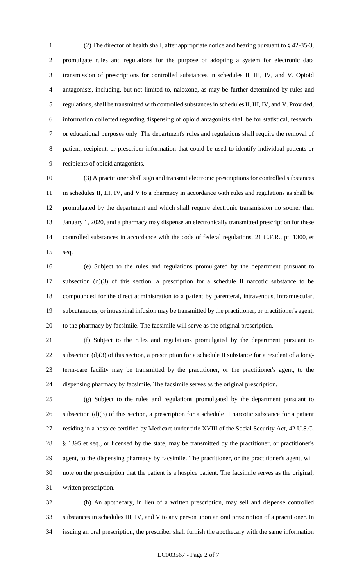(2) The director of health shall, after appropriate notice and hearing pursuant to § 42-35-3, promulgate rules and regulations for the purpose of adopting a system for electronic data transmission of prescriptions for controlled substances in schedules II, III, IV, and V. Opioid antagonists, including, but not limited to, naloxone, as may be further determined by rules and regulations, shall be transmitted with controlled substances in schedules II, III, IV, and V. Provided, information collected regarding dispensing of opioid antagonists shall be for statistical, research, or educational purposes only. The department's rules and regulations shall require the removal of patient, recipient, or prescriber information that could be used to identify individual patients or recipients of opioid antagonists.

 (3) A practitioner shall sign and transmit electronic prescriptions for controlled substances in schedules II, III, IV, and V to a pharmacy in accordance with rules and regulations as shall be promulgated by the department and which shall require electronic transmission no sooner than 13 January 1, 2020, and a pharmacy may dispense an electronically transmitted prescription for these controlled substances in accordance with the code of federal regulations, 21 C.F.R., pt. 1300, et seq.

 (e) Subject to the rules and regulations promulgated by the department pursuant to subsection (d)(3) of this section, a prescription for a schedule II narcotic substance to be compounded for the direct administration to a patient by parenteral, intravenous, intramuscular, subcutaneous, or intraspinal infusion may be transmitted by the practitioner, or practitioner's agent, to the pharmacy by facsimile. The facsimile will serve as the original prescription.

 (f) Subject to the rules and regulations promulgated by the department pursuant to subsection (d)(3) of this section, a prescription for a schedule II substance for a resident of a long- term-care facility may be transmitted by the practitioner, or the practitioner's agent, to the dispensing pharmacy by facsimile. The facsimile serves as the original prescription.

 (g) Subject to the rules and regulations promulgated by the department pursuant to subsection (d)(3) of this section, a prescription for a schedule II narcotic substance for a patient residing in a hospice certified by Medicare under title XVIII of the Social Security Act, 42 U.S.C. § 1395 et seq., or licensed by the state, may be transmitted by the practitioner, or practitioner's agent, to the dispensing pharmacy by facsimile. The practitioner, or the practitioner's agent, will note on the prescription that the patient is a hospice patient. The facsimile serves as the original, written prescription.

 (h) An apothecary, in lieu of a written prescription, may sell and dispense controlled substances in schedules III, IV, and V to any person upon an oral prescription of a practitioner. In issuing an oral prescription, the prescriber shall furnish the apothecary with the same information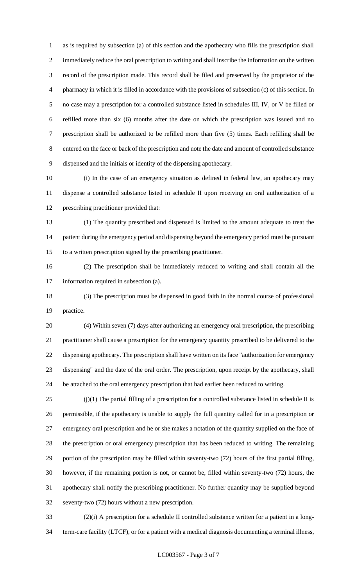as is required by subsection (a) of this section and the apothecary who fills the prescription shall immediately reduce the oral prescription to writing and shall inscribe the information on the written record of the prescription made. This record shall be filed and preserved by the proprietor of the pharmacy in which it is filled in accordance with the provisions of subsection (c) of this section. In no case may a prescription for a controlled substance listed in schedules III, IV, or V be filled or refilled more than six (6) months after the date on which the prescription was issued and no prescription shall be authorized to be refilled more than five (5) times. Each refilling shall be entered on the face or back of the prescription and note the date and amount of controlled substance dispensed and the initials or identity of the dispensing apothecary.

 (i) In the case of an emergency situation as defined in federal law, an apothecary may dispense a controlled substance listed in schedule II upon receiving an oral authorization of a prescribing practitioner provided that:

 (1) The quantity prescribed and dispensed is limited to the amount adequate to treat the 14 patient during the emergency period and dispensing beyond the emergency period must be pursuant to a written prescription signed by the prescribing practitioner.

 (2) The prescription shall be immediately reduced to writing and shall contain all the information required in subsection (a).

 (3) The prescription must be dispensed in good faith in the normal course of professional practice.

 (4) Within seven (7) days after authorizing an emergency oral prescription, the prescribing practitioner shall cause a prescription for the emergency quantity prescribed to be delivered to the dispensing apothecary. The prescription shall have written on its face "authorization for emergency dispensing" and the date of the oral order. The prescription, upon receipt by the apothecary, shall be attached to the oral emergency prescription that had earlier been reduced to writing.

 (j)(1) The partial filling of a prescription for a controlled substance listed in schedule II is permissible, if the apothecary is unable to supply the full quantity called for in a prescription or emergency oral prescription and he or she makes a notation of the quantity supplied on the face of the prescription or oral emergency prescription that has been reduced to writing. The remaining portion of the prescription may be filled within seventy-two (72) hours of the first partial filling, however, if the remaining portion is not, or cannot be, filled within seventy-two (72) hours, the apothecary shall notify the prescribing practitioner. No further quantity may be supplied beyond seventy-two (72) hours without a new prescription.

 (2)(i) A prescription for a schedule II controlled substance written for a patient in a long-term-care facility (LTCF), or for a patient with a medical diagnosis documenting a terminal illness,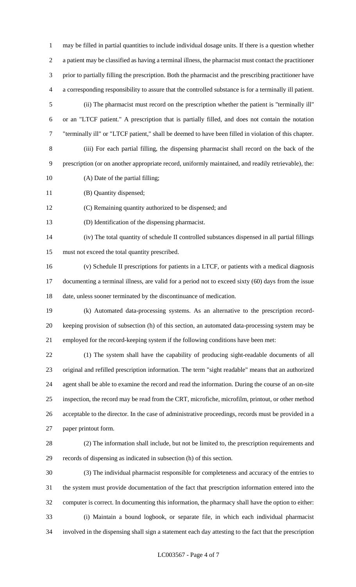may be filled in partial quantities to include individual dosage units. If there is a question whether a patient may be classified as having a terminal illness, the pharmacist must contact the practitioner prior to partially filling the prescription. Both the pharmacist and the prescribing practitioner have a corresponding responsibility to assure that the controlled substance is for a terminally ill patient. (ii) The pharmacist must record on the prescription whether the patient is "terminally ill" or an "LTCF patient." A prescription that is partially filled, and does not contain the notation "terminally ill" or "LTCF patient," shall be deemed to have been filled in violation of this chapter. (iii) For each partial filling, the dispensing pharmacist shall record on the back of the prescription (or on another appropriate record, uniformly maintained, and readily retrievable), the: (A) Date of the partial filling;

11 (B) Quantity dispensed;

(C) Remaining quantity authorized to be dispensed; and

(D) Identification of the dispensing pharmacist.

 (iv) The total quantity of schedule II controlled substances dispensed in all partial fillings must not exceed the total quantity prescribed.

 (v) Schedule II prescriptions for patients in a LTCF, or patients with a medical diagnosis documenting a terminal illness, are valid for a period not to exceed sixty (60) days from the issue date, unless sooner terminated by the discontinuance of medication.

 (k) Automated data-processing systems. As an alternative to the prescription record- keeping provision of subsection (h) of this section, an automated data-processing system may be employed for the record-keeping system if the following conditions have been met:

 (1) The system shall have the capability of producing sight-readable documents of all original and refilled prescription information. The term "sight readable" means that an authorized agent shall be able to examine the record and read the information. During the course of an on-site inspection, the record may be read from the CRT, microfiche, microfilm, printout, or other method acceptable to the director. In the case of administrative proceedings, records must be provided in a paper printout form.

 (2) The information shall include, but not be limited to, the prescription requirements and records of dispensing as indicated in subsection (h) of this section.

 (3) The individual pharmacist responsible for completeness and accuracy of the entries to the system must provide documentation of the fact that prescription information entered into the computer is correct. In documenting this information, the pharmacy shall have the option to either: (i) Maintain a bound logbook, or separate file, in which each individual pharmacist involved in the dispensing shall sign a statement each day attesting to the fact that the prescription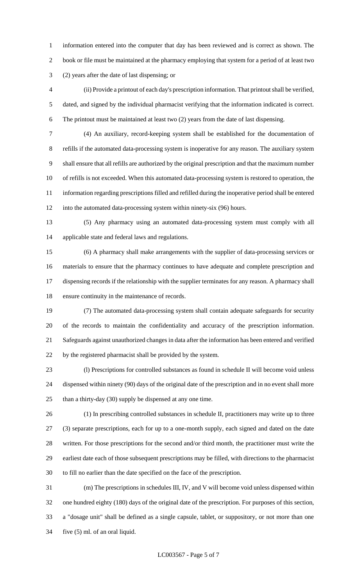information entered into the computer that day has been reviewed and is correct as shown. The book or file must be maintained at the pharmacy employing that system for a period of at least two (2) years after the date of last dispensing; or

 (ii) Provide a printout of each day's prescription information. That printout shall be verified, dated, and signed by the individual pharmacist verifying that the information indicated is correct. The printout must be maintained at least two (2) years from the date of last dispensing.

 (4) An auxiliary, record-keeping system shall be established for the documentation of refills if the automated data-processing system is inoperative for any reason. The auxiliary system shall ensure that all refills are authorized by the original prescription and that the maximum number of refills is not exceeded. When this automated data-processing system is restored to operation, the information regarding prescriptions filled and refilled during the inoperative period shall be entered into the automated data-processing system within ninety-six (96) hours.

 (5) Any pharmacy using an automated data-processing system must comply with all applicable state and federal laws and regulations.

 (6) A pharmacy shall make arrangements with the supplier of data-processing services or materials to ensure that the pharmacy continues to have adequate and complete prescription and dispensing records if the relationship with the supplier terminates for any reason. A pharmacy shall ensure continuity in the maintenance of records.

 (7) The automated data-processing system shall contain adequate safeguards for security of the records to maintain the confidentiality and accuracy of the prescription information. Safeguards against unauthorized changes in data after the information has been entered and verified by the registered pharmacist shall be provided by the system.

 (l) Prescriptions for controlled substances as found in schedule II will become void unless dispensed within ninety (90) days of the original date of the prescription and in no event shall more 25 than a thirty-day (30) supply be dispensed at any one time.

 (1) In prescribing controlled substances in schedule II, practitioners may write up to three (3) separate prescriptions, each for up to a one-month supply, each signed and dated on the date written. For those prescriptions for the second and/or third month, the practitioner must write the earliest date each of those subsequent prescriptions may be filled, with directions to the pharmacist to fill no earlier than the date specified on the face of the prescription.

 (m) The prescriptions in schedules III, IV, and V will become void unless dispensed within one hundred eighty (180) days of the original date of the prescription. For purposes of this section, a "dosage unit" shall be defined as a single capsule, tablet, or suppository, or not more than one five (5) ml. of an oral liquid.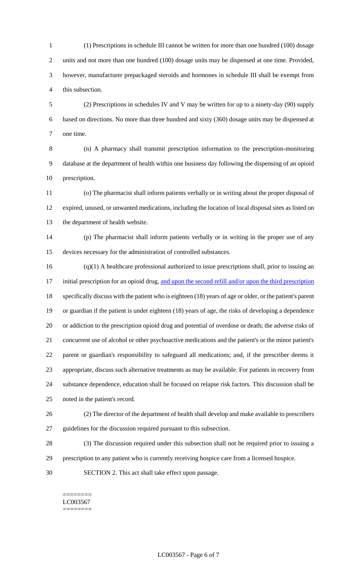(1) Prescriptions in schedule III cannot be written for more than one hundred (100) dosage units and not more than one hundred (100) dosage units may be dispensed at one time. Provided, however, manufacturer prepackaged steroids and hormones in schedule III shall be exempt from this subsection.

 (2) Prescriptions in schedules IV and V may be written for up to a ninety-day (90) supply based on directions. No more than three hundred and sixty (360) dosage units may be dispensed at one time.

 (n) A pharmacy shall transmit prescription information to the prescription-monitoring database at the department of health within one business day following the dispensing of an opioid prescription.

 (o) The pharmacist shall inform patients verbally or in writing about the proper disposal of expired, unused, or unwanted medications, including the location of local disposal sites as listed on the department of health website.

 (p) The pharmacist shall inform patients verbally or in writing in the proper use of any devices necessary for the administration of controlled substances.

 (q)(1) A healthcare professional authorized to issue prescriptions shall, prior to issuing an 17 initial prescription for an opioid drug, and upon the second refill and/or upon the third prescription specifically discuss with the patient who is eighteen (18) years of age or older, or the patient's parent or guardian if the patient is under eighteen (18) years of age, the risks of developing a dependence or addiction to the prescription opioid drug and potential of overdose or death; the adverse risks of concurrent use of alcohol or other psychoactive medications and the patient's or the minor patient's parent or guardian's responsibility to safeguard all medications; and, if the prescriber deems it appropriate, discuss such alternative treatments as may be available. For patients in recovery from substance dependence, education shall be focused on relapse risk factors. This discussion shall be noted in the patient's record.

- (2) The director of the department of health shall develop and make available to prescribers guidelines for the discussion required pursuant to this subsection.
- (3) The discussion required under this subsection shall not be required prior to issuing a
- prescription to any patient who is currently receiving hospice care from a licensed hospice.
- SECTION 2. This act shall take effect upon passage.

======== LC003567 ========